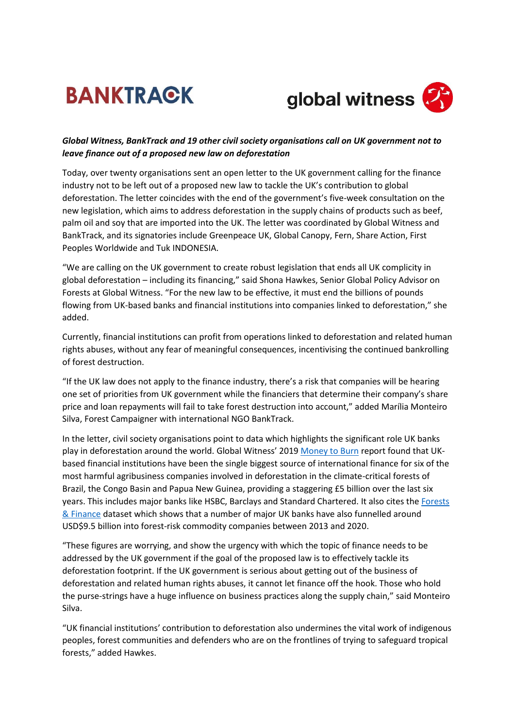## **BANKTRACK**



## *Global Witness, BankTrack and 19 other civil society organisations call on UK government not to leave finance out of a proposed new law on deforestation*

Today, over twenty organisations sent an open letter to the UK government calling for the finance industry not to be left out of a proposed new law to tackle the UK's contribution to global deforestation. The letter coincides with the end of the government's five-week consultation on the new legislation, which aims to address deforestation in the supply chains of products such as beef, palm oil and soy that are imported into the UK. The letter was coordinated by Global Witness and BankTrack, and its signatories include Greenpeace UK, Global Canopy, Fern, Share Action, First Peoples Worldwide and Tuk INDONESIA.

"We are calling on the UK government to create robust legislation that ends all UK complicity in global deforestation – including its financing," said Shona Hawkes, Senior Global Policy Advisor on Forests at Global Witness. "For the new law to be effective, it must end the billions of pounds flowing from UK-based banks and financial institutions into companies linked to deforestation," she added.

Currently, financial institutions can profit from operations linked to deforestation and related human rights abuses, without any fear of meaningful consequences, incentivising the continued bankrolling of forest destruction.

"If the UK law does not apply to the finance industry, there's a risk that companies will be hearing one set of priorities from UK government while the financiers that determine their company's share price and loan repayments will fail to take forest destruction into account," added Marília Monteiro Silva, Forest Campaigner with international NGO BankTrack.

In the letter, civil society organisations point to data which highlights the significant role UK banks play in deforestation around the world. Global Witness' 2019 [Money to Burn](https://www.globalwitness.org/en/campaigns/forests/money-to-burn-how-iconic-banks-and-investors-fund-the-destruction-of-the-worlds-largest-rainforests/) report found that UKbased financial institutions have been the single biggest source of international finance for six of the most harmful agribusiness companies involved in deforestation in the climate-critical forests of Brazil, the Congo Basin and Papua New Guinea, providing a staggering £5 billion over the last six years. This includes major banks like HSBC, Barclays and Standard Chartered. It also cites the Forests [& Finance](https://forestsandfinance.org/data/) dataset which shows that a number of major UK banks have also funnelled around USD\$9.5 billion into forest-risk commodity companies between 2013 and 2020.

"These figures are worrying, and show the urgency with which the topic of finance needs to be addressed by the UK government if the goal of the proposed law is to effectively tackle its deforestation footprint. If the UK government is serious about getting out of the business of deforestation and related human rights abuses, it cannot let finance off the hook. Those who hold the purse-strings have a huge influence on business practices along the supply chain," said Monteiro Silva.

"UK financial institutions' contribution to deforestation also undermines the vital work of indigenous peoples, forest communities and defenders who are on the frontlines of trying to safeguard tropical forests," added Hawkes.